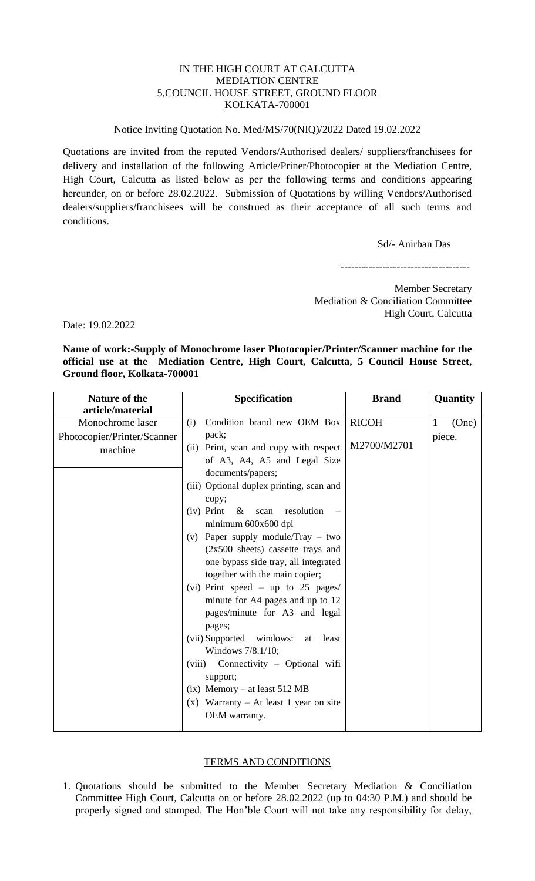## IN THE HIGH COURT AT CALCUTTA MEDIATION CENTRE 5,COUNCIL HOUSE STREET, GROUND FLOOR KOLKATA-700001

## Notice Inviting Quotation No. Med/MS/70(NIQ)/2022 Dated 19.02.2022

Quotations are invited from the reputed Vendors/Authorised dealers/ suppliers/franchisees for delivery and installation of the following Article/Priner/Photocopier at the Mediation Centre, High Court, Calcutta as listed below as per the following terms and conditions appearing hereunder, on or before 28.02.2022. Submission of Quotations by willing Vendors/Authorised dealers/suppliers/franchisees will be construed as their acceptance of all such terms and conditions.

Sd/- Anirban Das

-------------------------------------

Member Secretary Mediation & Conciliation Committee High Court, Calcutta

Date: 19.02.2022

**Name of work:-Supply of Monochrome laser Photocopier/Printer/Scanner machine for the official use at the Mediation Centre, High Court, Calcutta, 5 Council House Street, Ground floor, Kolkata-700001**

| <b>Nature of the</b><br>article/material                   | Specification                                                                                                                                                                                                                                                                                                                                                                                                                                                                                                                                                                                                                                                                                                                                                               | <b>Brand</b>                | <b>Quantity</b>      |
|------------------------------------------------------------|-----------------------------------------------------------------------------------------------------------------------------------------------------------------------------------------------------------------------------------------------------------------------------------------------------------------------------------------------------------------------------------------------------------------------------------------------------------------------------------------------------------------------------------------------------------------------------------------------------------------------------------------------------------------------------------------------------------------------------------------------------------------------------|-----------------------------|----------------------|
| Monochrome laser<br>Photocopier/Printer/Scanner<br>machine | Condition brand new OEM Box<br>(i)<br>pack;<br>Print, scan and copy with respect<br>(ii)<br>of A3, A4, A5 and Legal Size<br>documents/papers;<br>(iii) Optional duplex printing, scan and<br>copy;<br>$(iv)$ Print & scan resolution<br>minimum 600x600 dpi<br>Paper supply module/Tray – two<br>(v)<br>$(2x500$ sheets) cassette trays and<br>one bypass side tray, all integrated<br>together with the main copier;<br>(vi) Print speed $-$ up to 25 pages/<br>minute for A4 pages and up to 12<br>pages/minute for A3 and legal<br>pages;<br>(vii) Supported windows:<br>at least<br>Windows 7/8.1/10;<br>Connectivity - Optional wifi<br>(viii)<br>support;<br>$(ix)$ Memory – at least 512 MB<br>Warranty – At least 1 year on site<br>$(\mathbf{x})$<br>OEM warranty. | <b>RICOH</b><br>M2700/M2701 | (One)<br>1<br>piece. |

## TERMS AND CONDITIONS

1. Quotations should be submitted to the Member Secretary Mediation & Conciliation Committee High Court, Calcutta on or before 28.02.2022 (up to 04:30 P.M.) and should be properly signed and stamped. The Hon'ble Court will not take any responsibility for delay,